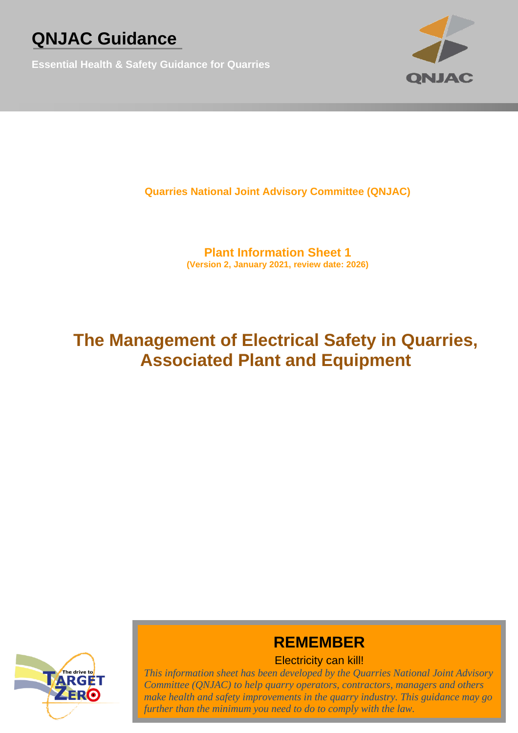**Essential Health & Safety Guidance for Quarries**



**Quarries National Joint Advisory Committee (QNJAC)**

**Plant Information Sheet 1 (Version 2, January 2021, review date: 2026)**

## **The Management of Electrical Safety in Quarries, Associated Plant and Equipment**



## **REMEMBER**

## Electricity can kill!

*This information sheet has been developed by the Quarries National Joint Advisory Committee (QNJAC) to help quarry operators, contractors, managers and others make health and safety improvements in the quarry industry. This guidance may go further than the minimum you need to do to comply with the law.*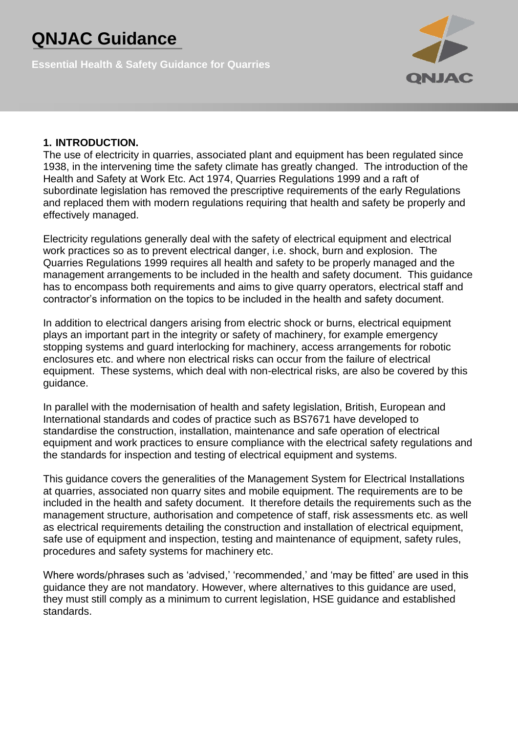**Essential Health & Safety Guidance for Quarries**



#### **1. INTRODUCTION.**

The use of electricity in quarries, associated plant and equipment has been regulated since 1938, in the intervening time the safety climate has greatly changed. The introduction of the Health and Safety at Work Etc. Act 1974, Quarries Regulations 1999 and a raft of subordinate legislation has removed the prescriptive requirements of the early Regulations and replaced them with modern regulations requiring that health and safety be properly and effectively managed.

Electricity regulations generally deal with the safety of electrical equipment and electrical work practices so as to prevent electrical danger, i.e. shock, burn and explosion. The Quarries Regulations 1999 requires all health and safety to be properly managed and the management arrangements to be included in the health and safety document. This guidance has to encompass both requirements and aims to give quarry operators, electrical staff and contractor's information on the topics to be included in the health and safety document.

In addition to electrical dangers arising from electric shock or burns, electrical equipment plays an important part in the integrity or safety of machinery, for example emergency stopping systems and guard interlocking for machinery, access arrangements for robotic enclosures etc. and where non electrical risks can occur from the failure of electrical equipment. These systems, which deal with non-electrical risks, are also be covered by this guidance.

In parallel with the modernisation of health and safety legislation, British, European and International standards and codes of practice such as BS7671 have developed to standardise the construction, installation, maintenance and safe operation of electrical equipment and work practices to ensure compliance with the electrical safety regulations and the standards for inspection and testing of electrical equipment and systems.

This guidance covers the generalities of the Management System for Electrical Installations at quarries, associated non quarry sites and mobile equipment. The requirements are to be included in the health and safety document. It therefore details the requirements such as the management structure, authorisation and competence of staff, risk assessments etc. as well as electrical requirements detailing the construction and installation of electrical equipment, safe use of equipment and inspection, testing and maintenance of equipment, safety rules, procedures and safety systems for machinery etc.

Where words/phrases such as 'advised,' 'recommended,' and 'may be fitted' are used in this guidance they are not mandatory. However, where alternatives to this guidance are used, they must still comply as a minimum to current legislation, HSE guidance and established standards.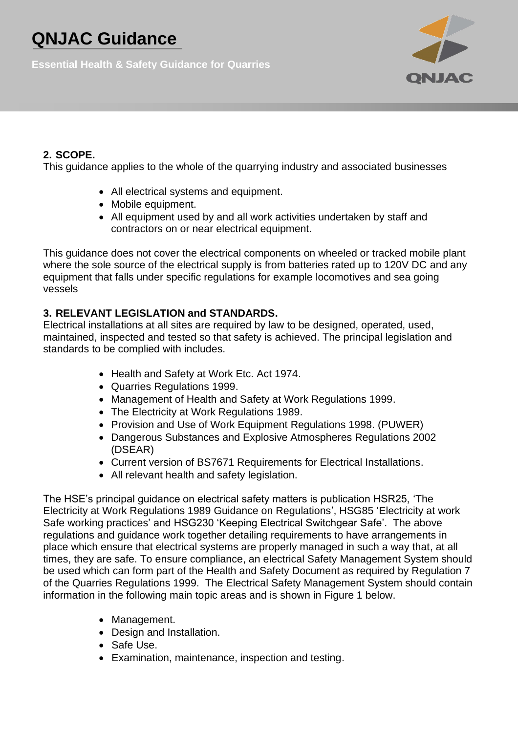**Essential Health & Safety Guidance for Quarries**



## **2. SCOPE.**

This guidance applies to the whole of the quarrying industry and associated businesses

- All electrical systems and equipment.
- Mobile equipment.
- All equipment used by and all work activities undertaken by staff and contractors on or near electrical equipment.

This guidance does not cover the electrical components on wheeled or tracked mobile plant where the sole source of the electrical supply is from batteries rated up to 120V DC and any equipment that falls under specific regulations for example locomotives and sea going vessels

## **3. RELEVANT LEGISLATION and STANDARDS.**

Electrical installations at all sites are required by law to be designed, operated, used, maintained, inspected and tested so that safety is achieved. The principal legislation and standards to be complied with includes.

- Health and Safety at Work Etc. Act 1974.
- Quarries Regulations 1999.
- Management of Health and Safety at Work Regulations 1999.
- The Electricity at Work Regulations 1989.
- Provision and Use of Work Equipment Regulations 1998. (PUWER)
- Dangerous Substances and Explosive Atmospheres Regulations 2002 (DSEAR)
- Current version of BS7671 Requirements for Electrical Installations.
- All relevant health and safety legislation.

The HSE's principal guidance on electrical safety matters is publication HSR25, 'The Electricity at Work Regulations 1989 Guidance on Regulations', HSG85 'Electricity at work Safe working practices' and HSG230 'Keeping Electrical Switchgear Safe'. The above regulations and guidance work together detailing requirements to have arrangements in place which ensure that electrical systems are properly managed in such a way that, at all times, they are safe. To ensure compliance, an electrical Safety Management System should be used which can form part of the Health and Safety Document as required by Regulation 7 of the Quarries Regulations 1999. The Electrical Safety Management System should contain information in the following main topic areas and is shown in Figure 1 below.

- Management.
- Design and Installation.
- Safe Use.
- Examination, maintenance, inspection and testing.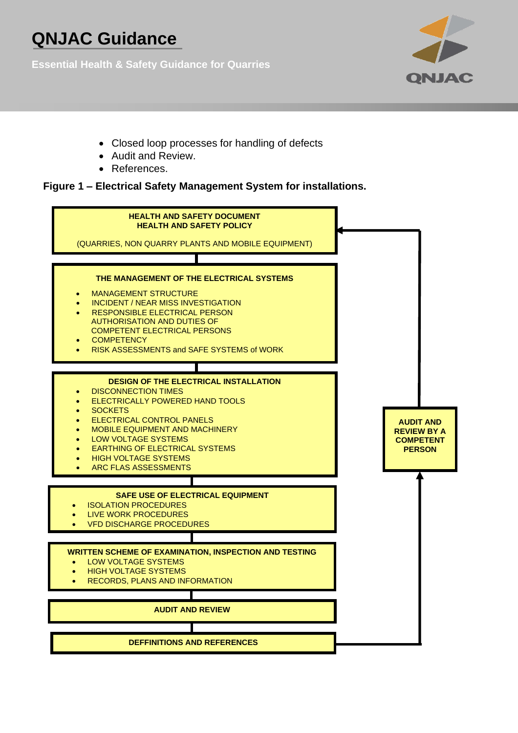**Essential Health & Safety Guidance for Quarries**



- Closed loop processes for handling of defects
- Audit and Review.
- References.

#### **Figure 1 – Electrical Safety Management System for installations.**

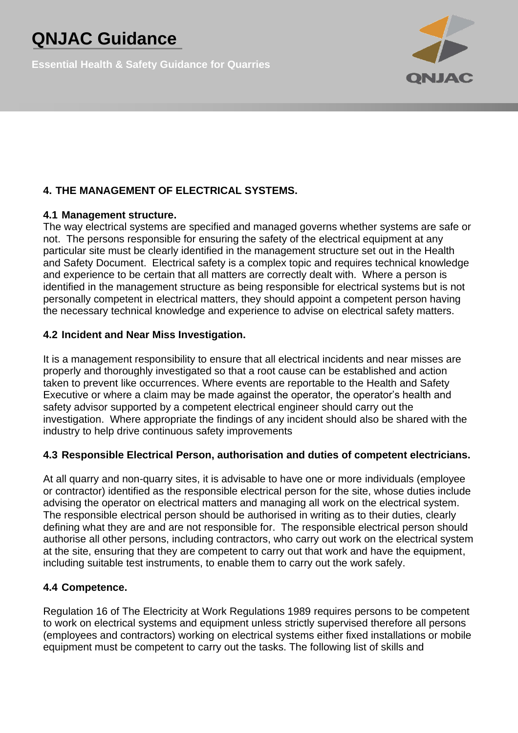**Essential Health & Safety Guidance for Quarries**



## **4. THE MANAGEMENT OF ELECTRICAL SYSTEMS.**

#### **4.1 Management structure.**

The way electrical systems are specified and managed governs whether systems are safe or not. The persons responsible for ensuring the safety of the electrical equipment at any particular site must be clearly identified in the management structure set out in the Health and Safety Document. Electrical safety is a complex topic and requires technical knowledge and experience to be certain that all matters are correctly dealt with. Where a person is identified in the management structure as being responsible for electrical systems but is not personally competent in electrical matters, they should appoint a competent person having the necessary technical knowledge and experience to advise on electrical safety matters.

#### **4.2 Incident and Near Miss Investigation.**

It is a management responsibility to ensure that all electrical incidents and near misses are properly and thoroughly investigated so that a root cause can be established and action taken to prevent like occurrences. Where events are reportable to the Health and Safety Executive or where a claim may be made against the operator, the operator's health and safety advisor supported by a competent electrical engineer should carry out the investigation. Where appropriate the findings of any incident should also be shared with the industry to help drive continuous safety improvements

### **4.3 Responsible Electrical Person, authorisation and duties of competent electricians.**

At all quarry and non-quarry sites, it is advisable to have one or more individuals (employee or contractor) identified as the responsible electrical person for the site, whose duties include advising the operator on electrical matters and managing all work on the electrical system. The responsible electrical person should be authorised in writing as to their duties, clearly defining what they are and are not responsible for. The responsible electrical person should authorise all other persons, including contractors, who carry out work on the electrical system at the site, ensuring that they are competent to carry out that work and have the equipment, including suitable test instruments, to enable them to carry out the work safely.

### **4.4 Competence.**

Regulation 16 of The Electricity at Work Regulations 1989 requires persons to be competent to work on electrical systems and equipment unless strictly supervised therefore all persons (employees and contractors) working on electrical systems either fixed installations or mobile equipment must be competent to carry out the tasks. The following list of skills and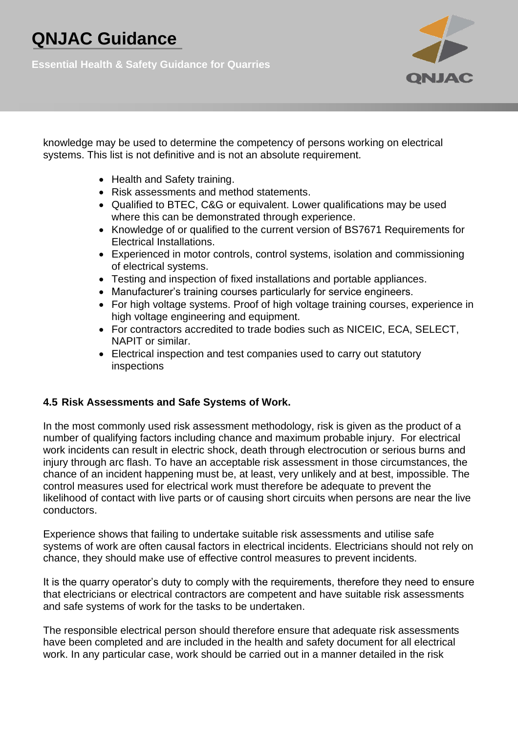**Essential Health & Safety Guidance for Quarries**



knowledge may be used to determine the competency of persons working on electrical systems. This list is not definitive and is not an absolute requirement.

- Health and Safety training.
- Risk assessments and method statements.
- Qualified to BTEC, C&G or equivalent. Lower qualifications may be used where this can be demonstrated through experience.
- Knowledge of or qualified to the current version of BS7671 Requirements for Electrical Installations.
- Experienced in motor controls, control systems, isolation and commissioning of electrical systems.
- Testing and inspection of fixed installations and portable appliances.
- Manufacturer's training courses particularly for service engineers.
- For high voltage systems. Proof of high voltage training courses, experience in high voltage engineering and equipment.
- For contractors accredited to trade bodies such as NICEIC, ECA, SELECT, NAPIT or similar.
- Electrical inspection and test companies used to carry out statutory inspections

### **4.5 Risk Assessments and Safe Systems of Work.**

In the most commonly used risk assessment methodology, risk is given as the product of a number of qualifying factors including chance and maximum probable injury. For electrical work incidents can result in electric shock, death through electrocution or serious burns and injury through arc flash. To have an acceptable risk assessment in those circumstances, the chance of an incident happening must be, at least, very unlikely and at best, impossible. The control measures used for electrical work must therefore be adequate to prevent the likelihood of contact with live parts or of causing short circuits when persons are near the live conductors.

Experience shows that failing to undertake suitable risk assessments and utilise safe systems of work are often causal factors in electrical incidents. Electricians should not rely on chance, they should make use of effective control measures to prevent incidents.

It is the quarry operator's duty to comply with the requirements, therefore they need to ensure that electricians or electrical contractors are competent and have suitable risk assessments and safe systems of work for the tasks to be undertaken.

The responsible electrical person should therefore ensure that adequate risk assessments have been completed and are included in the health and safety document for all electrical work. In any particular case, work should be carried out in a manner detailed in the risk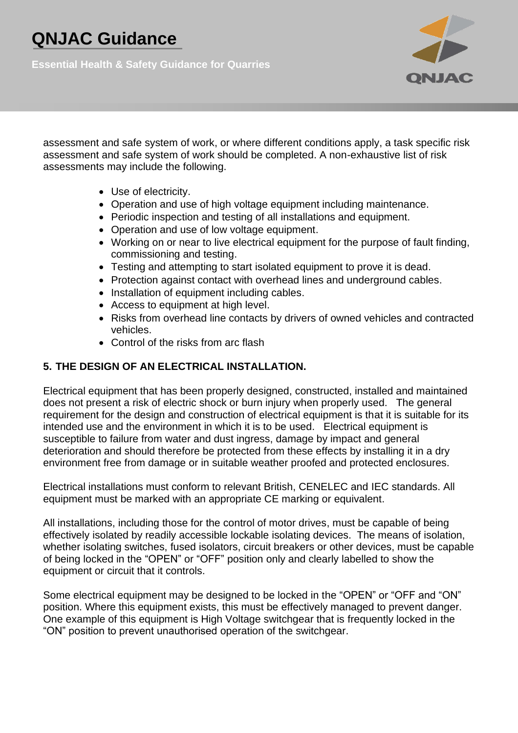**Essential Health & Safety Guidance for Quarries**



assessment and safe system of work, or where different conditions apply, a task specific risk assessment and safe system of work should be completed. A non-exhaustive list of risk assessments may include the following.

- Use of electricity.
- Operation and use of high voltage equipment including maintenance.
- Periodic inspection and testing of all installations and equipment.
- Operation and use of low voltage equipment.
- Working on or near to live electrical equipment for the purpose of fault finding, commissioning and testing.
- Testing and attempting to start isolated equipment to prove it is dead.
- Protection against contact with overhead lines and underground cables.
- Installation of equipment including cables.
- Access to equipment at high level.
- Risks from overhead line contacts by drivers of owned vehicles and contracted vehicles.
- Control of the risks from arc flash

## **5. THE DESIGN OF AN ELECTRICAL INSTALLATION.**

Electrical equipment that has been properly designed, constructed, installed and maintained does not present a risk of electric shock or burn injury when properly used. The general requirement for the design and construction of electrical equipment is that it is suitable for its intended use and the environment in which it is to be used. Electrical equipment is susceptible to failure from water and dust ingress, damage by impact and general deterioration and should therefore be protected from these effects by installing it in a dry environment free from damage or in suitable weather proofed and protected enclosures.

Electrical installations must conform to relevant British, CENELEC and IEC standards. All equipment must be marked with an appropriate CE marking or equivalent.

All installations, including those for the control of motor drives, must be capable of being effectively isolated by readily accessible lockable isolating devices. The means of isolation, whether isolating switches, fused isolators, circuit breakers or other devices, must be capable of being locked in the "OPEN" or "OFF" position only and clearly labelled to show the equipment or circuit that it controls.

Some electrical equipment may be designed to be locked in the "OPEN" or "OFF and "ON" position. Where this equipment exists, this must be effectively managed to prevent danger. One example of this equipment is High Voltage switchgear that is frequently locked in the "ON" position to prevent unauthorised operation of the switchgear.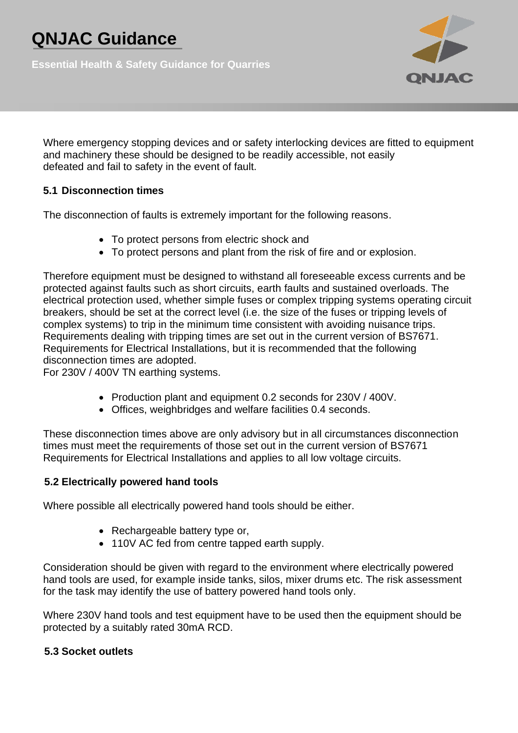**Essential Health & Safety Guidance for Quarries**



Where emergency stopping devices and or safety interlocking devices are fitted to equipment and machinery these should be designed to be readily accessible, not easily defeated and fail to safety in the event of fault.

### **5.1 Disconnection times**

The disconnection of faults is extremely important for the following reasons.

- To protect persons from electric shock and
- To protect persons and plant from the risk of fire and or explosion.

Therefore equipment must be designed to withstand all foreseeable excess currents and be protected against faults such as short circuits, earth faults and sustained overloads. The electrical protection used, whether simple fuses or complex tripping systems operating circuit breakers, should be set at the correct level (i.e. the size of the fuses or tripping levels of complex systems) to trip in the minimum time consistent with avoiding nuisance trips. Requirements dealing with tripping times are set out in the current version of BS7671. Requirements for Electrical Installations, but it is recommended that the following disconnection times are adopted.

For 230V / 400V TN earthing systems.

- Production plant and equipment 0.2 seconds for 230V / 400V.
- Offices, weighbridges and welfare facilities 0.4 seconds.

These disconnection times above are only advisory but in all circumstances disconnection times must meet the requirements of those set out in the current version of BS7671 Requirements for Electrical Installations and applies to all low voltage circuits.

### **5.2 Electrically powered hand tools**

Where possible all electrically powered hand tools should be either.

- Rechargeable battery type or,
- 110V AC fed from centre tapped earth supply.

Consideration should be given with regard to the environment where electrically powered hand tools are used, for example inside tanks, silos, mixer drums etc. The risk assessment for the task may identify the use of battery powered hand tools only.

Where 230V hand tools and test equipment have to be used then the equipment should be protected by a suitably rated 30mA RCD.

### **5.3 Socket outlets**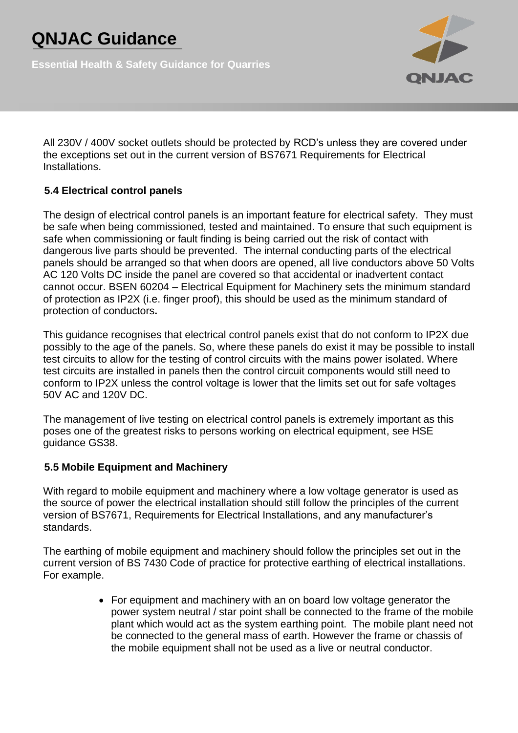**Essential Health & Safety Guidance for Quarries**



All 230V / 400V socket outlets should be protected by RCD's unless they are covered under the exceptions set out in the current version of BS7671 Requirements for Electrical Installations.

## **5.4 Electrical control panels**

The design of electrical control panels is an important feature for electrical safety. They must be safe when being commissioned, tested and maintained. To ensure that such equipment is safe when commissioning or fault finding is being carried out the risk of contact with dangerous live parts should be prevented. The internal conducting parts of the electrical panels should be arranged so that when doors are opened, all live conductors above 50 Volts AC 120 Volts DC inside the panel are covered so that accidental or inadvertent contact cannot occur. BSEN 60204 – Electrical Equipment for Machinery sets the minimum standard of protection as IP2X (i.e. finger proof), this should be used as the minimum standard of protection of conductors**.**

This guidance recognises that electrical control panels exist that do not conform to IP2X due possibly to the age of the panels. So, where these panels do exist it may be possible to install test circuits to allow for the testing of control circuits with the mains power isolated. Where test circuits are installed in panels then the control circuit components would still need to conform to IP2X unless the control voltage is lower that the limits set out for safe voltages 50V AC and 120V DC.

The management of live testing on electrical control panels is extremely important as this poses one of the greatest risks to persons working on electrical equipment, see HSE guidance GS38.

#### **5.5 Mobile Equipment and Machinery**

With regard to mobile equipment and machinery where a low voltage generator is used as the source of power the electrical installation should still follow the principles of the current version of BS7671, Requirements for Electrical Installations, and any manufacturer's standards.

The earthing of mobile equipment and machinery should follow the principles set out in the current version of BS 7430 Code of practice for protective earthing of electrical installations. For example.

> • For equipment and machinery with an on board low voltage generator the power system neutral / star point shall be connected to the frame of the mobile plant which would act as the system earthing point. The mobile plant need not be connected to the general mass of earth. However the frame or chassis of the mobile equipment shall not be used as a live or neutral conductor.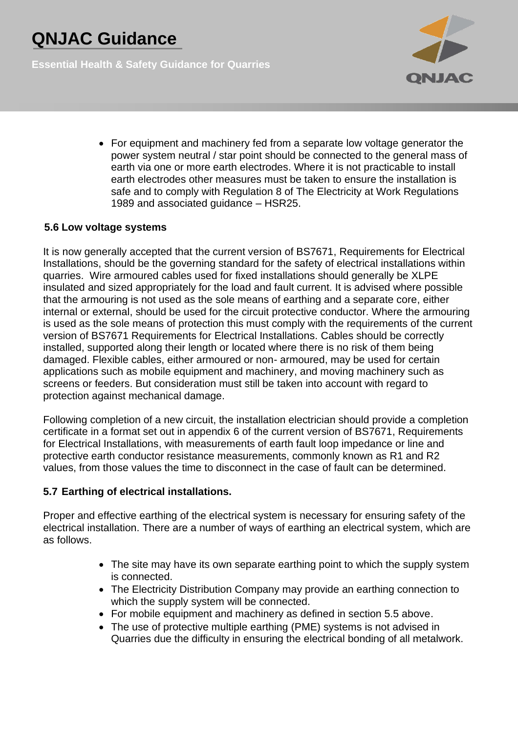**Essential Health & Safety Guidance for Quarries**



• For equipment and machinery fed from a separate low voltage generator the power system neutral / star point should be connected to the general mass of earth via one or more earth electrodes. Where it is not practicable to install earth electrodes other measures must be taken to ensure the installation is safe and to comply with Regulation 8 of The Electricity at Work Regulations 1989 and associated guidance – HSR25.

#### **5.6 Low voltage systems**

It is now generally accepted that the current version of BS7671, Requirements for Electrical Installations, should be the governing standard for the safety of electrical installations within quarries. Wire armoured cables used for fixed installations should generally be XLPE insulated and sized appropriately for the load and fault current. It is advised where possible that the armouring is not used as the sole means of earthing and a separate core, either internal or external, should be used for the circuit protective conductor. Where the armouring is used as the sole means of protection this must comply with the requirements of the current version of BS7671 Requirements for Electrical Installations. Cables should be correctly installed, supported along their length or located where there is no risk of them being damaged. Flexible cables, either armoured or non- armoured, may be used for certain applications such as mobile equipment and machinery, and moving machinery such as screens or feeders. But consideration must still be taken into account with regard to protection against mechanical damage.

Following completion of a new circuit, the installation electrician should provide a completion certificate in a format set out in appendix 6 of the current version of BS7671, Requirements for Electrical Installations, with measurements of earth fault loop impedance or line and protective earth conductor resistance measurements, commonly known as R1 and R2 values, from those values the time to disconnect in the case of fault can be determined.

### **5.7 Earthing of electrical installations.**

Proper and effective earthing of the electrical system is necessary for ensuring safety of the electrical installation. There are a number of ways of earthing an electrical system, which are as follows.

- The site may have its own separate earthing point to which the supply system is connected.
- The Electricity Distribution Company may provide an earthing connection to which the supply system will be connected.
- For mobile equipment and machinery as defined in section 5.5 above.
- The use of protective multiple earthing (PME) systems is not advised in Quarries due the difficulty in ensuring the electrical bonding of all metalwork.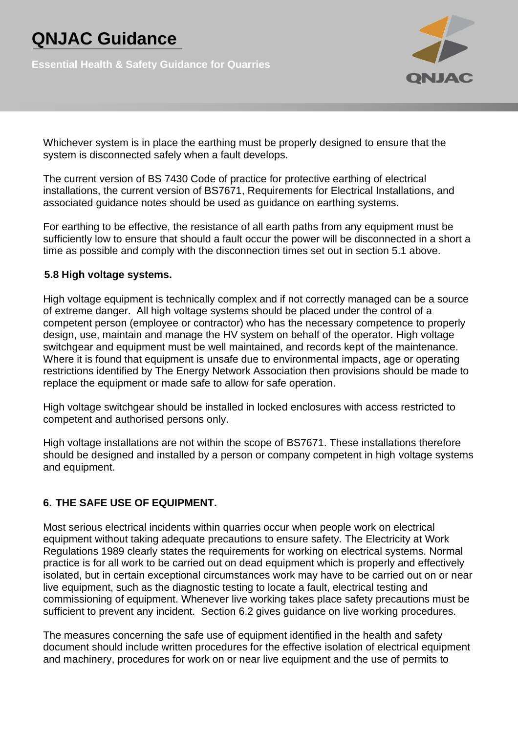**Essential Health & Safety Guidance for Quarries**



Whichever system is in place the earthing must be properly designed to ensure that the system is disconnected safely when a fault develops.

The current version of BS 7430 Code of practice for protective earthing of electrical installations, the current version of BS7671, Requirements for Electrical Installations, and associated guidance notes should be used as guidance on earthing systems.

For earthing to be effective, the resistance of all earth paths from any equipment must be sufficiently low to ensure that should a fault occur the power will be disconnected in a short a time as possible and comply with the disconnection times set out in section 5.1 above.

#### **5.8 High voltage systems.**

High voltage equipment is technically complex and if not correctly managed can be a source of extreme danger. All high voltage systems should be placed under the control of a competent person (employee or contractor) who has the necessary competence to properly design, use, maintain and manage the HV system on behalf of the operator. High voltage switchgear and equipment must be well maintained, and records kept of the maintenance. Where it is found that equipment is unsafe due to environmental impacts, age or operating restrictions identified by The Energy Network Association then provisions should be made to replace the equipment or made safe to allow for safe operation.

High voltage switchgear should be installed in locked enclosures with access restricted to competent and authorised persons only.

High voltage installations are not within the scope of BS7671. These installations therefore should be designed and installed by a person or company competent in high voltage systems and equipment.

### **6. THE SAFE USE OF EQUIPMENT.**

Most serious electrical incidents within quarries occur when people work on electrical equipment without taking adequate precautions to ensure safety. The Electricity at Work Regulations 1989 clearly states the requirements for working on electrical systems. Normal practice is for all work to be carried out on dead equipment which is properly and effectively isolated, but in certain exceptional circumstances work may have to be carried out on or near live equipment, such as the diagnostic testing to locate a fault, electrical testing and commissioning of equipment. Whenever live working takes place safety precautions must be sufficient to prevent any incident. Section 6.2 gives guidance on live working procedures.

The measures concerning the safe use of equipment identified in the health and safety document should include written procedures for the effective isolation of electrical equipment and machinery, procedures for work on or near live equipment and the use of permits to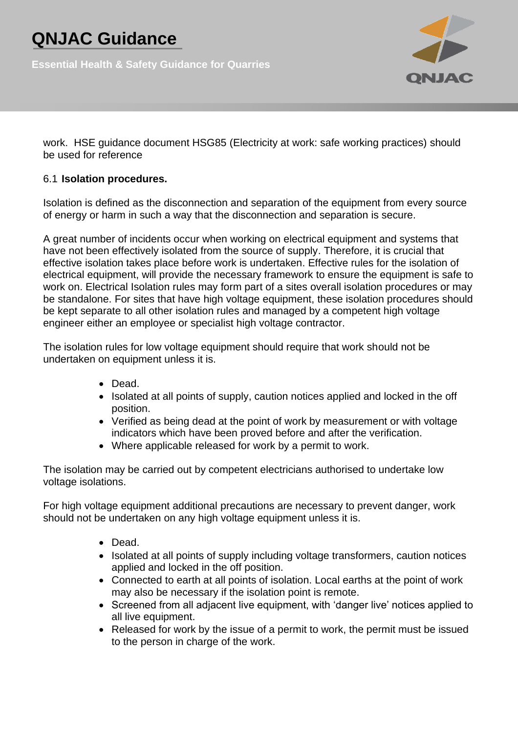**Essential Health & Safety Guidance for Quarries**



work. HSE guidance document HSG85 (Electricity at work: safe working practices) should be used for reference

### 6.1 **Isolation procedures.**

Isolation is defined as the disconnection and separation of the equipment from every source of energy or harm in such a way that the disconnection and separation is secure.

A great number of incidents occur when working on electrical equipment and systems that have not been effectively isolated from the source of supply. Therefore, it is crucial that effective isolation takes place before work is undertaken. Effective rules for the isolation of electrical equipment, will provide the necessary framework to ensure the equipment is safe to work on. Electrical Isolation rules may form part of a sites overall isolation procedures or may be standalone. For sites that have high voltage equipment, these isolation procedures should be kept separate to all other isolation rules and managed by a competent high voltage engineer either an employee or specialist high voltage contractor.

The isolation rules for low voltage equipment should require that work should not be undertaken on equipment unless it is.

- Dead.
- Isolated at all points of supply, caution notices applied and locked in the off position.
- Verified as being dead at the point of work by measurement or with voltage indicators which have been proved before and after the verification.
- Where applicable released for work by a permit to work.

The isolation may be carried out by competent electricians authorised to undertake low voltage isolations.

For high voltage equipment additional precautions are necessary to prevent danger, work should not be undertaken on any high voltage equipment unless it is.

- Dead.
- Isolated at all points of supply including voltage transformers, caution notices applied and locked in the off position.
- Connected to earth at all points of isolation. Local earths at the point of work may also be necessary if the isolation point is remote.
- Screened from all adjacent live equipment, with 'danger live' notices applied to all live equipment.
- Released for work by the issue of a permit to work, the permit must be issued to the person in charge of the work.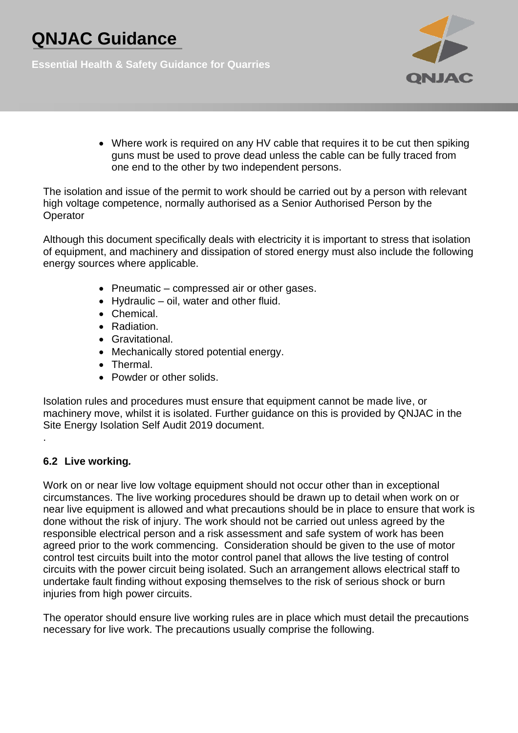**Essential Health & Safety Guidance for Quarries**



• Where work is required on any HV cable that requires it to be cut then spiking guns must be used to prove dead unless the cable can be fully traced from one end to the other by two independent persons.

The isolation and issue of the permit to work should be carried out by a person with relevant high voltage competence, normally authorised as a Senior Authorised Person by the **Operator** 

Although this document specifically deals with electricity it is important to stress that isolation of equipment, and machinery and dissipation of stored energy must also include the following energy sources where applicable.

- Pneumatic compressed air or other gases.
- Hydraulic oil, water and other fluid.
- Chemical.
- Radiation.
- Gravitational.
- Mechanically stored potential energy.
- Thermal.
- Powder or other solids.

Isolation rules and procedures must ensure that equipment cannot be made live, or machinery move, whilst it is isolated. Further guidance on this is provided by QNJAC in the Site Energy Isolation Self Audit 2019 document.

### **6.2 Live working***.*

.

Work on or near live low voltage equipment should not occur other than in exceptional circumstances. The live working procedures should be drawn up to detail when work on or near live equipment is allowed and what precautions should be in place to ensure that work is done without the risk of injury. The work should not be carried out unless agreed by the responsible electrical person and a risk assessment and safe system of work has been agreed prior to the work commencing. Consideration should be given to the use of motor control test circuits built into the motor control panel that allows the live testing of control circuits with the power circuit being isolated. Such an arrangement allows electrical staff to undertake fault finding without exposing themselves to the risk of serious shock or burn injuries from high power circuits.

The operator should ensure live working rules are in place which must detail the precautions necessary for live work. The precautions usually comprise the following.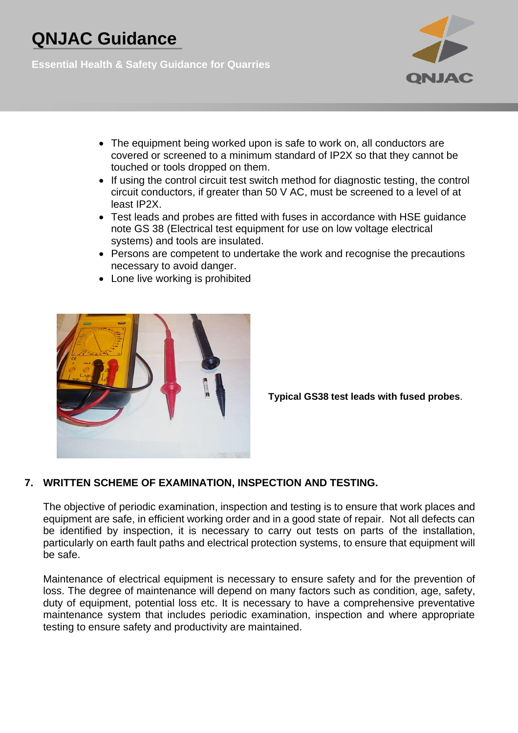**Essential Health & Safety Guidance for Quarries**



- The equipment being worked upon is safe to work on, all conductors are covered or screened to a minimum standard of IP2X so that they cannot be touched or tools dropped on them.
- If using the control circuit test switch method for diagnostic testing, the control circuit conductors, if greater than 50 V AC, must be screened to a level of at least IP2X.
- Test leads and probes are fitted with fuses in accordance with HSE guidance note GS 38 (Electrical test equipment for use on low voltage electrical systems) and tools are insulated.
- Persons are competent to undertake the work and recognise the precautions necessary to avoid danger.
- Lone live working is prohibited



**Typical GS38 test leads with fused probes**.

### **7. WRITTEN SCHEME OF EXAMINATION, INSPECTION AND TESTING.**

The objective of periodic examination, inspection and testing is to ensure that work places and equipment are safe, in efficient working order and in a good state of repair. Not all defects can be identified by inspection, it is necessary to carry out tests on parts of the installation, particularly on earth fault paths and electrical protection systems, to ensure that equipment will be safe.

Maintenance of electrical equipment is necessary to ensure safety and for the prevention of loss. The degree of maintenance will depend on many factors such as condition, age, safety, duty of equipment, potential loss etc. It is necessary to have a comprehensive preventative maintenance system that includes periodic examination, inspection and where appropriate testing to ensure safety and productivity are maintained.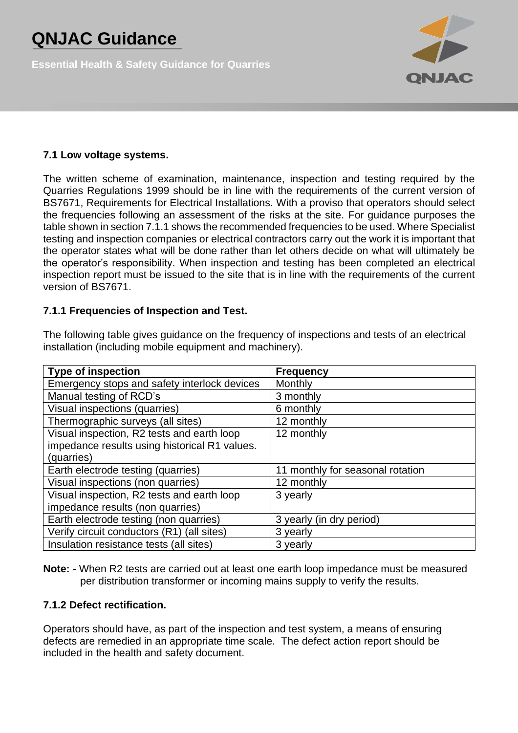**Essential Health & Safety Guidance for Quarries**



### **7.1 Low voltage systems.**

The written scheme of examination, maintenance, inspection and testing required by the Quarries Regulations 1999 should be in line with the requirements of the current version of BS7671, Requirements for Electrical Installations. With a proviso that operators should select the frequencies following an assessment of the risks at the site. For guidance purposes the table shown in section 7.1.1 shows the recommended frequencies to be used. Where Specialist testing and inspection companies or electrical contractors carry out the work it is important that the operator states what will be done rather than let others decide on what will ultimately be the operator's responsibility. When inspection and testing has been completed an electrical inspection report must be issued to the site that is in line with the requirements of the current version of BS7671.

#### **7.1.1 Frequencies of Inspection and Test.**

| <b>Type of inspection</b>                     | <b>Frequency</b>                 |
|-----------------------------------------------|----------------------------------|
| Emergency stops and safety interlock devices  | Monthly                          |
| Manual testing of RCD's                       | 3 monthly                        |
| Visual inspections (quarries)                 | 6 monthly                        |
| Thermographic surveys (all sites)             | 12 monthly                       |
| Visual inspection, R2 tests and earth loop    | 12 monthly                       |
| impedance results using historical R1 values. |                                  |
| (quarries)                                    |                                  |
| Earth electrode testing (quarries)            | 11 monthly for seasonal rotation |
| Visual inspections (non quarries)             | 12 monthly                       |
| Visual inspection, R2 tests and earth loop    | 3 yearly                         |
| impedance results (non quarries)              |                                  |
| Earth electrode testing (non quarries)        | 3 yearly (in dry period)         |
| Verify circuit conductors (R1) (all sites)    | 3 yearly                         |
| Insulation resistance tests (all sites)       | 3 yearly                         |

The following table gives guidance on the frequency of inspections and tests of an electrical installation (including mobile equipment and machinery).

**Note: -** When R2 tests are carried out at least one earth loop impedance must be measured per distribution transformer or incoming mains supply to verify the results.

#### **7.1.2 Defect rectification.**

Operators should have, as part of the inspection and test system, a means of ensuring defects are remedied in an appropriate time scale. The defect action report should be included in the health and safety document.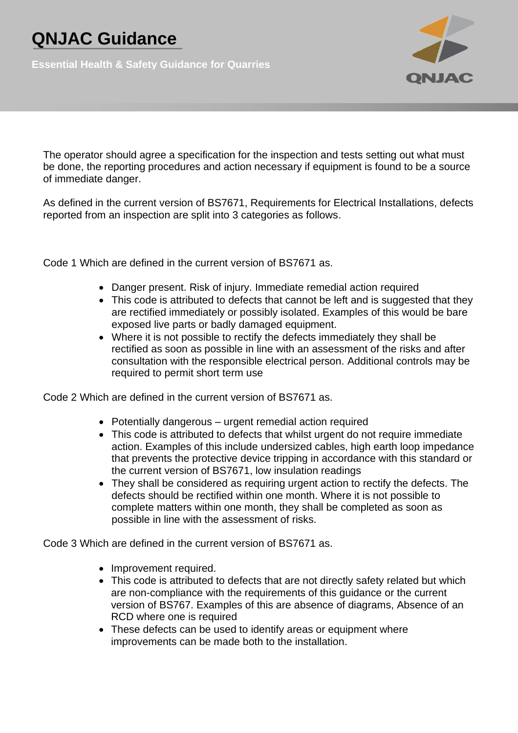**Essential Health & Safety Guidance for Quarries**



The operator should agree a specification for the inspection and tests setting out what must be done, the reporting procedures and action necessary if equipment is found to be a source of immediate danger.

As defined in the current version of BS7671, Requirements for Electrical Installations, defects reported from an inspection are split into 3 categories as follows.

Code 1 Which are defined in the current version of BS7671 as.

- Danger present. Risk of injury. Immediate remedial action required
- This code is attributed to defects that cannot be left and is suggested that they are rectified immediately or possibly isolated. Examples of this would be bare exposed live parts or badly damaged equipment.
- Where it is not possible to rectify the defects immediately they shall be rectified as soon as possible in line with an assessment of the risks and after consultation with the responsible electrical person. Additional controls may be required to permit short term use

Code 2 Which are defined in the current version of BS7671 as.

- Potentially dangerous urgent remedial action required
- This code is attributed to defects that whilst urgent do not require immediate action. Examples of this include undersized cables, high earth loop impedance that prevents the protective device tripping in accordance with this standard or the current version of BS7671, low insulation readings
- They shall be considered as requiring urgent action to rectify the defects. The defects should be rectified within one month. Where it is not possible to complete matters within one month, they shall be completed as soon as possible in line with the assessment of risks.

Code 3 Which are defined in the current version of BS7671 as.

- Improvement required.
- This code is attributed to defects that are not directly safety related but which are non-compliance with the requirements of this guidance or the current version of BS767. Examples of this are absence of diagrams, Absence of an RCD where one is required
- These defects can be used to identify areas or equipment where improvements can be made both to the installation.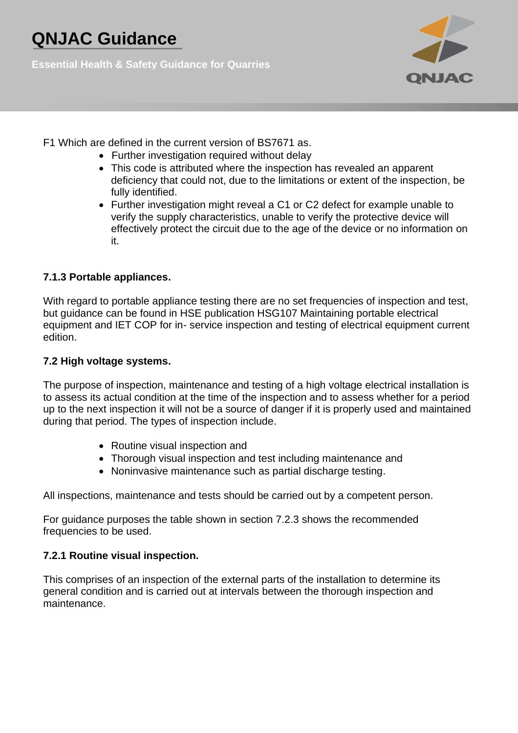**Essential Health & Safety Guidance for Quarries**



- F1 Which are defined in the current version of BS7671 as.
	- Further investigation required without delay
	- This code is attributed where the inspection has revealed an apparent deficiency that could not, due to the limitations or extent of the inspection, be fully identified.
	- Further investigation might reveal a C1 or C2 defect for example unable to verify the supply characteristics, unable to verify the protective device will effectively protect the circuit due to the age of the device or no information on it.

### **7.1.3 Portable appliances.**

With regard to portable appliance testing there are no set frequencies of inspection and test, but guidance can be found in HSE publication HSG107 Maintaining portable electrical equipment and IET COP for in- service inspection and testing of electrical equipment current edition.

### **7.2 High voltage systems.**

The purpose of inspection, maintenance and testing of a high voltage electrical installation is to assess its actual condition at the time of the inspection and to assess whether for a period up to the next inspection it will not be a source of danger if it is properly used and maintained during that period. The types of inspection include.

- Routine visual inspection and
- Thorough visual inspection and test including maintenance and
- Noninvasive maintenance such as partial discharge testing.

All inspections, maintenance and tests should be carried out by a competent person.

For guidance purposes the table shown in section 7.2.3 shows the recommended frequencies to be used.

### **7.2.1 Routine visual inspection.**

This comprises of an inspection of the external parts of the installation to determine its general condition and is carried out at intervals between the thorough inspection and maintenance.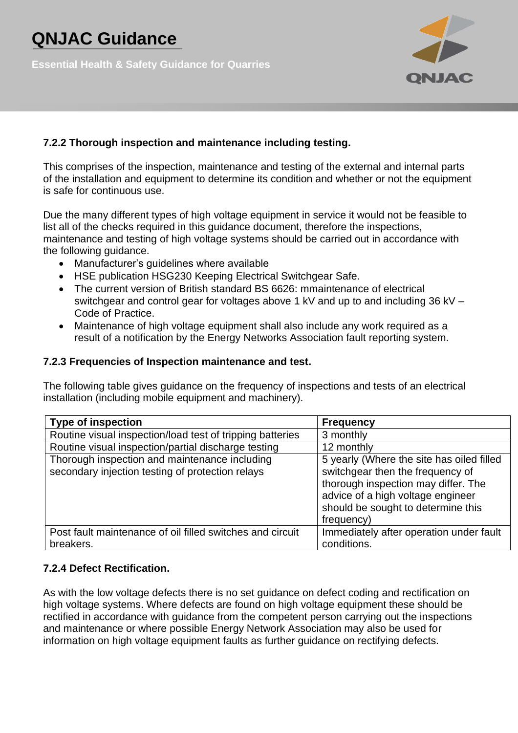**Essential Health & Safety Guidance for Quarries**



### **7.2.2 Thorough inspection and maintenance including testing.**

This comprises of the inspection, maintenance and testing of the external and internal parts of the installation and equipment to determine its condition and whether or not the equipment is safe for continuous use.

Due the many different types of high voltage equipment in service it would not be feasible to list all of the checks required in this guidance document, therefore the inspections, maintenance and testing of high voltage systems should be carried out in accordance with the following guidance.

- Manufacturer's guidelines where available
- HSE publication HSG230 Keeping Electrical Switchgear Safe.
- The current version of British standard BS 6626: mmaintenance of electrical switchgear and control gear for voltages above 1 kV and up to and including 36 kV – Code of Practice.
- Maintenance of high voltage equipment shall also include any work required as a result of a notification by the Energy Networks Association fault reporting system.

#### **7.2.3 Frequencies of Inspection maintenance and test.**

The following table gives guidance on the frequency of inspections and tests of an electrical installation (including mobile equipment and machinery).

| <b>Type of inspection</b>                                                                         | <b>Frequency</b>                                                                                                                                                                                              |
|---------------------------------------------------------------------------------------------------|---------------------------------------------------------------------------------------------------------------------------------------------------------------------------------------------------------------|
| Routine visual inspection/load test of tripping batteries                                         | 3 monthly                                                                                                                                                                                                     |
| Routine visual inspection/partial discharge testing                                               | 12 monthly                                                                                                                                                                                                    |
| Thorough inspection and maintenance including<br>secondary injection testing of protection relays | 5 yearly (Where the site has oiled filled<br>switchgear then the frequency of<br>thorough inspection may differ. The<br>advice of a high voltage engineer<br>should be sought to determine this<br>frequency) |
| Post fault maintenance of oil filled switches and circuit                                         | Immediately after operation under fault                                                                                                                                                                       |
| breakers.                                                                                         | conditions.                                                                                                                                                                                                   |

### **7.2.4 Defect Rectification.**

As with the low voltage defects there is no set guidance on defect coding and rectification on high voltage systems. Where defects are found on high voltage equipment these should be rectified in accordance with guidance from the competent person carrying out the inspections and maintenance or where possible Energy Network Association may also be used for information on high voltage equipment faults as further guidance on rectifying defects.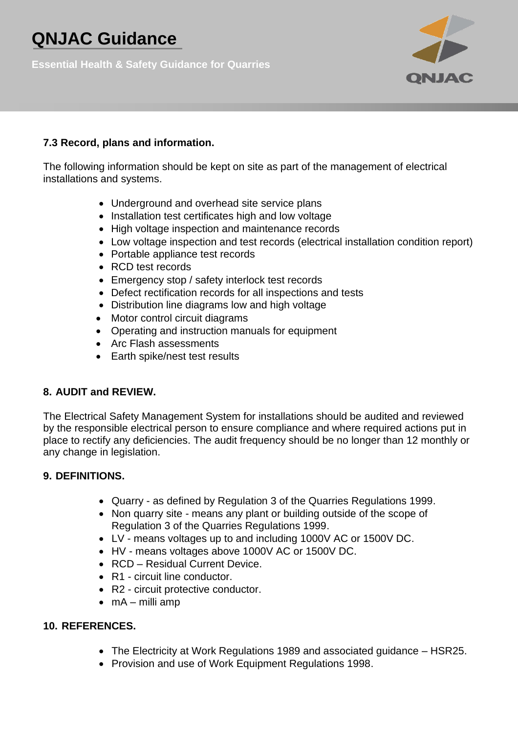**Essential Health & Safety Guidance for Quarries**



### **7.3 Record, plans and information.**

The following information should be kept on site as part of the management of electrical installations and systems.

- Underground and overhead site service plans
- Installation test certificates high and low voltage
- High voltage inspection and maintenance records
- Low voltage inspection and test records (electrical installation condition report)
- Portable appliance test records
- RCD test records
- Emergency stop / safety interlock test records
- Defect rectification records for all inspections and tests
- Distribution line diagrams low and high voltage
- Motor control circuit diagrams
- Operating and instruction manuals for equipment
- Arc Flash assessments
- Earth spike/nest test results

### **8. AUDIT and REVIEW.**

The Electrical Safety Management System for installations should be audited and reviewed by the responsible electrical person to ensure compliance and where required actions put in place to rectify any deficiencies. The audit frequency should be no longer than 12 monthly or any change in legislation.

#### **9. DEFINITIONS.**

- Quarry as defined by Regulation 3 of the Quarries Regulations 1999.
- Non quarry site means any plant or building outside of the scope of Regulation 3 of the Quarries Regulations 1999.
- LV means voltages up to and including 1000V AC or 1500V DC.
- HV means voltages above 1000V AC or 1500V DC.
- RCD Residual Current Device.
- R1 circuit line conductor.
- R2 circuit protective conductor.
- $\bullet$  mA milli amp

#### **10. REFERENCES.**

- The Electricity at Work Regulations 1989 and associated guidance HSR25.
- Provision and use of Work Equipment Regulations 1998.